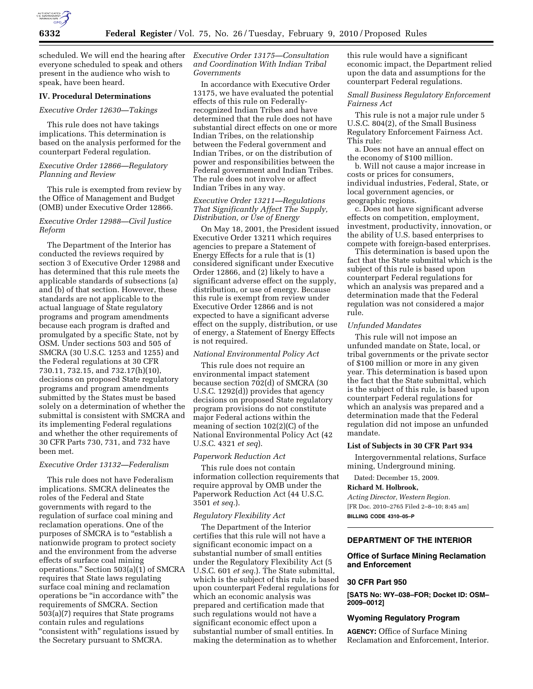

scheduled. We will end the hearing after everyone scheduled to speak and others present in the audience who wish to speak, have been heard.

#### **IV. Procedural Determinations**

## *Executive Order 12630—Takings*

This rule does not have takings implications. This determination is based on the analysis performed for the counterpart Federal regulation.

# *Executive Order 12866—Regulatory Planning and Review*

This rule is exempted from review by the Office of Management and Budget (OMB) under Executive Order 12866.

# *Executive Order 12988—Civil Justice Reform*

The Department of the Interior has conducted the reviews required by section 3 of Executive Order 12988 and has determined that this rule meets the applicable standards of subsections (a) and (b) of that section. However, these standards are not applicable to the actual language of State regulatory programs and program amendments because each program is drafted and promulgated by a specific State, not by OSM. Under sections 503 and 505 of SMCRA (30 U.S.C. 1253 and 1255) and the Federal regulations at 30 CFR 730.11, 732.15, and 732.17(h)(10), decisions on proposed State regulatory programs and program amendments submitted by the States must be based solely on a determination of whether the submittal is consistent with SMCRA and its implementing Federal regulations and whether the other requirements of 30 CFR Parts 730, 731, and 732 have been met.

### *Executive Order 13132—Federalism*

This rule does not have Federalism implications. SMCRA delineates the roles of the Federal and State governments with regard to the regulation of surface coal mining and reclamation operations. One of the purposes of SMCRA is to "establish a nationwide program to protect society and the environment from the adverse effects of surface coal mining operations." Section  $503(a)(1)$  of SMCRA requires that State laws regulating surface coal mining and reclamation operations be ''in accordance with'' the requirements of SMCRA. Section 503(a)(7) requires that State programs contain rules and regulations "consistent with" regulations issued by the Secretary pursuant to SMCRA.

# *Executive Order 13175—Consultation and Coordination With Indian Tribal Governments*

In accordance with Executive Order 13175, we have evaluated the potential effects of this rule on Federallyrecognized Indian Tribes and have determined that the rule does not have substantial direct effects on one or more Indian Tribes, on the relationship between the Federal government and Indian Tribes, or on the distribution of power and responsibilities between the Federal government and Indian Tribes. The rule does not involve or affect Indian Tribes in any way.

# *Executive Order 13211—Regulations That Significantly Affect The Supply, Distribution, or Use of Energy*

On May 18, 2001, the President issued Executive Order 13211 which requires agencies to prepare a Statement of Energy Effects for a rule that is (1) considered significant under Executive Order 12866, and (2) likely to have a significant adverse effect on the supply, distribution, or use of energy. Because this rule is exempt from review under Executive Order 12866 and is not expected to have a significant adverse effect on the supply, distribution, or use of energy, a Statement of Energy Effects is not required.

## *National Environmental Policy Act*

This rule does not require an environmental impact statement because section 702(d) of SMCRA (30 U.S.C. 1292(d)) provides that agency decisions on proposed State regulatory program provisions do not constitute major Federal actions within the meaning of section 102(2)(C) of the National Environmental Policy Act (42 U.S.C. 4321 *et seq*).

#### *Paperwork Reduction Act*

This rule does not contain information collection requirements that require approval by OMB under the Paperwork Reduction Act (44 U.S.C. 3501 *et seq.*).

#### *Regulatory Flexibility Act*

The Department of the Interior certifies that this rule will not have a significant economic impact on a substantial number of small entities under the Regulatory Flexibility Act (5 U.S.C. 601 *et seq.*). The State submittal, which is the subject of this rule, is based upon counterpart Federal regulations for which an economic analysis was prepared and certification made that such regulations would not have a significant economic effect upon a substantial number of small entities. In making the determination as to whether

this rule would have a significant economic impact, the Department relied upon the data and assumptions for the counterpart Federal regulations.

# *Small Business Regulatory Enforcement Fairness Act*

This rule is not a major rule under 5 U.S.C. 804(2), of the Small Business Regulatory Enforcement Fairness Act. This rule:

a. Does not have an annual effect on the economy of \$100 million.

b. Will not cause a major increase in costs or prices for consumers, individual industries, Federal, State, or local government agencies, or geographic regions.

c. Does not have significant adverse effects on competition, employment, investment, productivity, innovation, or the ability of U.S. based enterprises to compete with foreign-based enterprises.

This determination is based upon the fact that the State submittal which is the subject of this rule is based upon counterpart Federal regulations for which an analysis was prepared and a determination made that the Federal regulation was not considered a major rule.

### *Unfunded Mandates*

This rule will not impose an unfunded mandate on State, local, or tribal governments or the private sector of \$100 million or more in any given year. This determination is based upon the fact that the State submittal, which is the subject of this rule, is based upon counterpart Federal regulations for which an analysis was prepared and a determination made that the Federal regulation did not impose an unfunded mandate.

#### **List of Subjects in 30 CFR Part 934**

Intergovernmental relations, Surface mining, Underground mining.

Dated: December 15, 2009.

## **Richard M. Holbrook,**

*Acting Director, Western Region.*  [FR Doc. 2010–2765 Filed 2–8–10; 8:45 am] **BILLING CODE 4310–05–P** 

# **DEPARTMENT OF THE INTERIOR**

## **Office of Surface Mining Reclamation and Enforcement**

#### **30 CFR Part 950**

**[SATS No: WY–038–FOR; Docket ID: OSM– 2009–0012]** 

## **Wyoming Regulatory Program**

**AGENCY:** Office of Surface Mining Reclamation and Enforcement, Interior.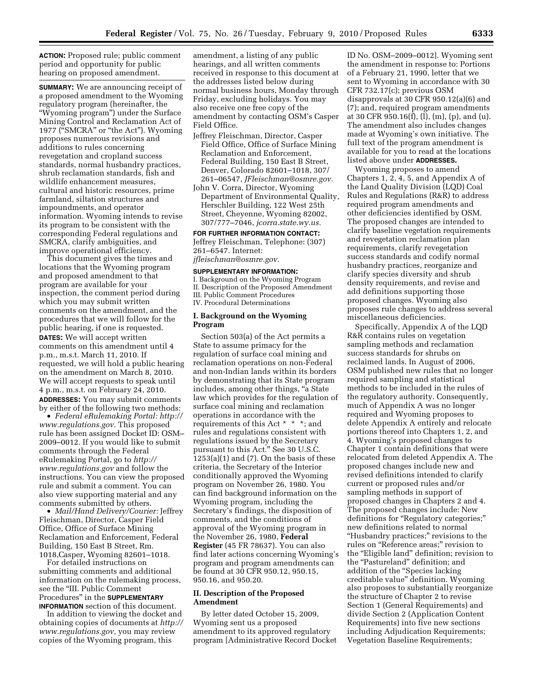**ACTION:** Proposed rule; public comment period and opportunity for public hearing on proposed amendment.

**SUMMARY:** We are announcing receipt of a proposed amendment to the Wyoming regulatory program (hereinafter, the ''Wyoming program'') under the Surface Mining Control and Reclamation Act of 1977 (''SMCRA'' or ''the Act''). Wyoming proposes numerous revisions and additions to rules concerning revegetation and cropland success standards, normal husbandry practices, shrub reclamation standards, fish and wildlife enhancement measures, cultural and historic resources, prime farmland, siltation structures and impoundments, and operator information. Wyoming intends to revise its program to be consistent with the corresponding Federal regulations and SMCRA, clarify ambiguities, and improve operational efficiency.

This document gives the times and locations that the Wyoming program and proposed amendment to that program are available for your inspection, the comment period during which you may submit written comments on the amendment, and the procedures that we will follow for the public hearing, if one is requested. **DATES:** We will accept written comments on this amendment until 4 p.m., m.s.t. March 11, 2010. If requested, we will hold a public hearing on the amendment on March 8, 2010. We will accept requests to speak until 4 p.m., m.s.t. on February 24, 2010. **ADDRESSES:** You may submit comments by either of the following two methods:

• *Federal eRulemaking Portal: http:// www.regulations.gov.* This proposed rule has been assigned Docket ID: OSM– 2009–0012. If you would like to submit comments through the Federal eRulemaking Portal, go to *http:// www.regulations.gov* and follow the instructions. You can view the proposed rule and submit a comment. You can also view supporting material and any comments submitted by others.

• *Mail/Hand Delivery/Courier:* Jeffrey Fleischman, Director, Casper Field Office, Office of Surface Mining Reclamation and Enforcement, Federal Building, 150 East B Street, Rm. 1018,Casper, Wyoming 82601–1018.

For detailed instructions on submitting comments and additional information on the rulemaking process, see the ''III. Public Comment Procedures'' in the **SUPPLEMENTARY INFORMATION** section of this document.

In addition to viewing the docket and obtaining copies of documents at *http:// www.regulations.gov,* you may review copies of the Wyoming program, this

amendment, a listing of any public hearings, and all written comments received in response to this document at the addresses listed below during normal business hours, Monday through Friday, excluding holidays. You may also receive one free copy of the amendment by contacting OSM's Casper Field Office.

- Jeffrey Fleischman, Director, Casper Field Office, Office of Surface Mining Reclamation and Enforcement, Federal Building, 150 East B Street, Denver, Colorado 82601–1018, 307/ 261–06547, *JFleischman@osmre.gov.*
- John V. Corra, Director, Wyoming Department of Environmental Quality, Herschler Building, 122 West 25th Street, Cheyenne, Wyoming 82002, 307/777–7046, *jcorra.state.wy.us.*

**FOR FURTHER INFORMATION CONTACT:**  Jeffrey Fleischman, Telephone: (307)

261–6547. Internet: *jfleischman@osmre.gov.* 

## **SUPPLEMENTARY INFORMATION:**

I. Background on the Wyoming Program II. Description of the Proposed Amendment III. Public Comment Procedures IV. Procedural Determinations

## **I. Background on the Wyoming Program**

Section 503(a) of the Act permits a State to assume primacy for the regulation of surface coal mining and reclamation operations on non-Federal and non-Indian lands within its borders by demonstrating that its State program includes, among other things, ''a State law which provides for the regulation of surface coal mining and reclamation operations in accordance with the requirements of this Act \* \* \*; and rules and regulations consistent with regulations issued by the Secretary pursuant to this Act.'' See 30 U.S.C.  $1253(a)(1)$  and  $(7)$ . On the basis of these criteria, the Secretary of the Interior conditionally approved the Wyoming program on November 26, 1980. You can find background information on the Wyoming program, including the Secretary's findings, the disposition of comments, and the conditions of approval of the Wyoming program in the November 26, 1980, **Federal Register** (45 FR 78637). You can also find later actions concerning Wyoming's program and program amendments can be found at 30 CFR 950.12, 950.15, 950.16, and 950.20.

## **II. Description of the Proposed Amendment**

By letter dated October 15, 2009, Wyoming sent us a proposed amendment to its approved regulatory program [Administrative Record Docket

ID No. OSM–2009–0012]. Wyoming sent the amendment in response to: Portions of a February 21, 1990, letter that we sent to Wyoming in accordance with 30 CFR 732.17(c); previous OSM disapprovals at 30 CFR 950.12(a)(6) and (7); and, required program amendments at 30 CFR 950.16(f), (l), (m), (p), and (u). The amendment also includes changes made at Wyoming's own initiative. The full text of the program amendment is available for you to read at the locations listed above under **ADDRESSES.** 

Wyoming proposes to amend Chapters 1, 2, 4, 5, and Appendix A of the Land Quality Division (LQD) Coal Rules and Regulations (R&R) to address required program amendments and other deficiencies identified by OSM. The proposed changes are intended to clarify baseline vegetation requirements and revegetation reclamation plan requirements, clarify revegetation success standards and codify normal husbandry practices, reorganize and clarify species diversity and shrub density requirements, and revise and add definitions supporting those proposed changes. Wyoming also proposes rule changes to address several miscellaneous deficiencies.

Specifically, Appendix A of the LQD R&R contains rules on vegetation sampling methods and reclamation success standards for shrubs on reclaimed lands. In August of 2006, OSM published new rules that no longer required sampling and statistical methods to be included in the rules of the regulatory authority. Consequently, much of Appendix A was no longer required and Wyoming proposes to delete Appendix A entirely and relocate portions thereof into Chapters 1, 2, and 4. Wyoming's proposed changes to Chapter 1 contain definitions that were relocated from deleted Appendix A. The proposed changes include new and revised definitions intended to clarify current or proposed rules and/or sampling methods in support of proposed changes in Chapters 2 and 4. The proposed changes include: New definitions for "Regulatory categories;" new definitions related to normal "Husbandry practices;" revisions to the rules on ''Reference areas;'' revision to the ''Eligible land'' definition; revision to the ''Pastureland'' definition; and addition of the ''Species lacking creditable value'' definition. Wyoming also proposes to substantially reorganize the structure of Chapter 2 to revise Section 1 (General Requirements) and divide Section 2 (Application Content Requirements) into five new sections including Adjudication Requirements; Vegetation Baseline Requirements;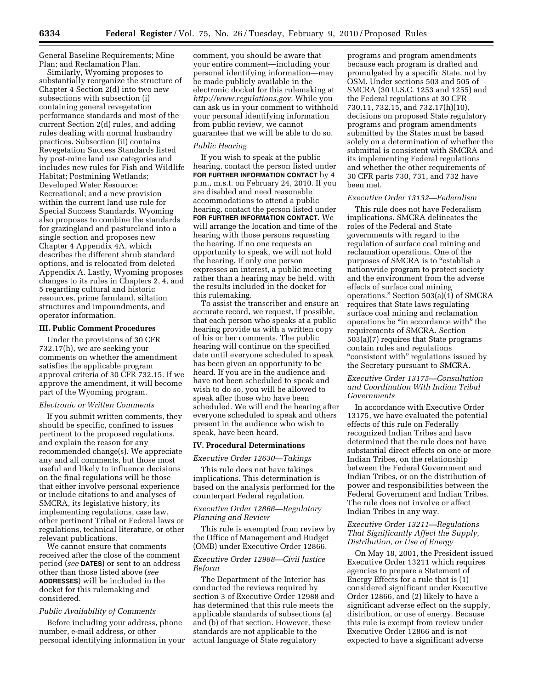General Baseline Requirements; Mine Plan; and Reclamation Plan.

Similarly, Wyoming proposes to substantially reorganize the structure of Chapter 4 Section 2(d) into two new subsections with subsection (i) containing general revegetation performance standards and most of the current Section 2(d) rules, and adding rules dealing with normal husbandry practices. Subsection (ii) contains Revegetation Success Standards listed by post-mine land use categories and includes new rules for Fish and Wildlife Habitat; Postmining Wetlands; Developed Water Resource; Recreational; and a new provision within the current land use rule for Special Success Standards. Wyoming also proposes to combine the standards for grazingland and pastureland into a single section and proposes new Chapter 4 Appendix 4A, which describes the different shrub standard options, and is relocated from deleted Appendix A. Lastly, Wyoming proposes changes to its rules in Chapters 2, 4, and 5 regarding cultural and historic resources, prime farmland, siltation structures and impoundments, and operator information.

#### **III. Public Comment Procedures**

Under the provisions of 30 CFR 732.17(h), we are seeking your comments on whether the amendment satisfies the applicable program approval criteria of 30 CFR 732.15. If we approve the amendment, it will become part of the Wyoming program.

#### *Electronic or Written Comments*

If you submit written comments, they should be specific, confined to issues pertinent to the proposed regulations, and explain the reason for any recommended change(s). We appreciate any and all comments, but those most useful and likely to influence decisions on the final regulations will be those that either involve personal experience or include citations to and analyses of SMCRA, its legislative history, its implementing regulations, case law, other pertinent Tribal or Federal laws or regulations, technical literature, or other relevant publications.

We cannot ensure that comments received after the close of the comment period (*see* **DATES**) or sent to an address other than those listed above (*see*  **ADDRESSES**) will be included in the docket for this rulemaking and considered.

# *Public Availability of Comments*

Before including your address, phone number, e-mail address, or other personal identifying information in your comment, you should be aware that your entire comment—including your personal identifying information—may be made publicly available in the electronic docket for this rulemaking at *http://www.regulations.gov.* While you can ask us in your comment to withhold your personal identifying information from public review, we cannot guarantee that we will be able to do so.

### *Public Hearing*

If you wish to speak at the public hearing, contact the person listed under **FOR FURTHER INFORMATION CONTACT** by 4 p.m., m.s.t. on February 24, 2010. If you are disabled and need reasonable accommodations to attend a public hearing, contact the person listed under **FOR FURTHER INFORMATION CONTACT.** We will arrange the location and time of the hearing with those persons requesting the hearing. If no one requests an opportunity to speak, we will not hold the hearing. If only one person expresses an interest, a public meeting rather than a hearing may be held, with the results included in the docket for this rulemaking.

To assist the transcriber and ensure an accurate record, we request, if possible, that each person who speaks at a public hearing provide us with a written copy of his or her comments. The public hearing will continue on the specified date until everyone scheduled to speak has been given an opportunity to be heard. If you are in the audience and have not been scheduled to speak and wish to do so, you will be allowed to speak after those who have been scheduled. We will end the hearing after everyone scheduled to speak and others present in the audience who wish to speak, have been heard.

#### **IV. Procedural Determinations**

#### *Executive Order 12630—Takings*

This rule does not have takings implications. This determination is based on the analysis performed for the counterpart Federal regulation.

## *Executive Order 12866—Regulatory Planning and Review*

This rule is exempted from review by the Office of Management and Budget (OMB) under Executive Order 12866.

## *Executive Order 12988—Civil Justice Reform*

The Department of the Interior has conducted the reviews required by section 3 of Executive Order 12988 and has determined that this rule meets the applicable standards of subsections (a) and (b) of that section. However, these standards are not applicable to the actual language of State regulatory

programs and program amendments because each program is drafted and promulgated by a specific State, not by OSM. Under sections 503 and 505 of SMCRA (30 U.S.C. 1253 and 1255) and the Federal regulations at 30 CFR 730.11, 732.15, and 732.17(h)(10), decisions on proposed State regulatory programs and program amendments submitted by the States must be based solely on a determination of whether the submittal is consistent with SMCRA and its implementing Federal regulations and whether the other requirements of 30 CFR parts 730, 731, and 732 have been met.

## *Executive Order 13132—Federalism*

This rule does not have Federalism implications. SMCRA delineates the roles of the Federal and State governments with regard to the regulation of surface coal mining and reclamation operations. One of the purposes of SMCRA is to ''establish a nationwide program to protect society and the environment from the adverse effects of surface coal mining operations.'' Section 503(a)(1) of SMCRA requires that State laws regulating surface coal mining and reclamation operations be ''in accordance with'' the requirements of SMCRA. Section 503(a)(7) requires that State programs contain rules and regulations "consistent with" regulations issued by the Secretary pursuant to SMCRA.

## *Executive Order 13175—Consultation and Coordination With Indian Tribal Governments*

In accordance with Executive Order 13175, we have evaluated the potential effects of this rule on Federally recognized Indian Tribes and have determined that the rule does not have substantial direct effects on one or more Indian Tribes, on the relationship between the Federal Government and Indian Tribes, or on the distribution of power and responsibilities between the Federal Government and Indian Tribes. The rule does not involve or affect Indian Tribes in any way.

## *Executive Order 13211—Regulations That Significantly Affect the Supply, Distribution, or Use of Energy*

On May 18, 2001, the President issued Executive Order 13211 which requires agencies to prepare a Statement of Energy Effects for a rule that is (1) considered significant under Executive Order 12866, and (2) likely to have a significant adverse effect on the supply, distribution, or use of energy. Because this rule is exempt from review under Executive Order 12866 and is not expected to have a significant adverse